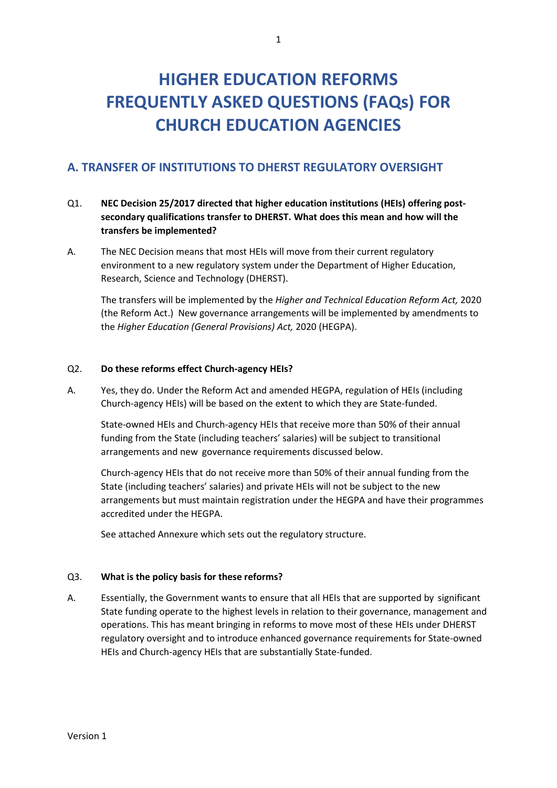# **HIGHER EDUCATION REFORMS FREQUENTLY ASKED QUESTIONS (FAQs) FOR CHURCH EDUCATION AGENCIES**

# **A. TRANSFER OF INSTITUTIONS TO DHERST REGULATORY OVERSIGHT**

# Q1. **NEC Decision 25/2017 directed that higher education institutions (HEIs) offering postsecondary qualifications transfer to DHERST. What does this mean and how will the transfers be implemented?**

A. The NEC Decision means that most HEIs will move from their current regulatory environment to a new regulatory system under the Department of Higher Education, Research, Science and Technology (DHERST).

The transfers will be implemented by the *Higher and Technical Education Reform Act,* 2020 (the Reform Act.) New governance arrangements will be implemented by amendments to the *Higher Education (General Provisions) Act,* 2020 (HEGPA).

## Q2. **Do these reforms effect Church-agency HEIs?**

A. Yes, they do. Under the Reform Act and amended HEGPA, regulation of HEIs (including Church-agency HEIs) will be based on the extent to which they are State-funded.

 State-owned HEIs and Church-agency HEIs that receive more than 50% of their annual funding from the State (including teachers' salaries) will be subject to transitional arrangements and new governance requirements discussed below.

Church-agency HEIs that do not receive more than 50% of their annual funding from the State (including teachers' salaries) and private HEIs will not be subject to the new arrangements but must maintain registration under the HEGPA and have their programmes accredited under the HEGPA.

See attached Annexure which sets out the regulatory structure.

#### Q3. **What is the policy basis for these reforms?**

A. Essentially, the Government wants to ensure that all HEIs that are supported by significant State funding operate to the highest levels in relation to their governance, management and operations. This has meant bringing in reforms to move most of these HEIs under DHERST regulatory oversight and to introduce enhanced governance requirements for State-owned HEIs and Church-agency HEIs that are substantially State-funded.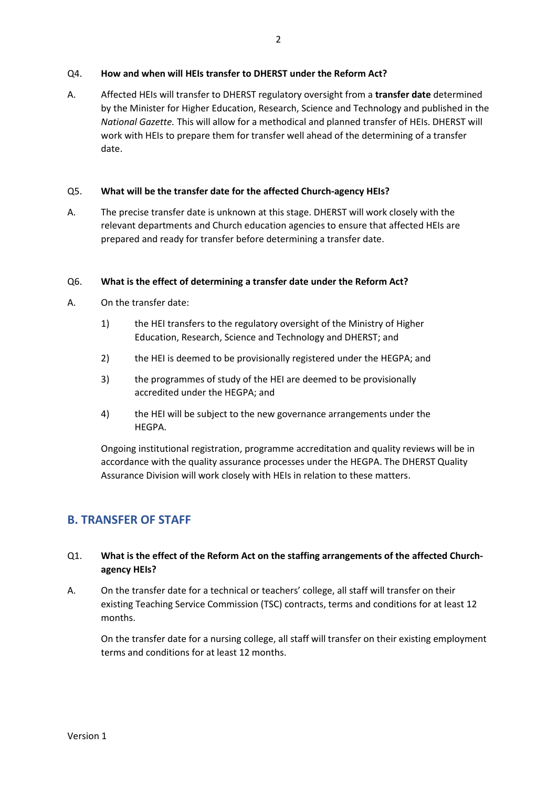#### Q4. **How and when will HEIs transfer to DHERST under the Reform Act?**

A. Affected HEIs will transfer to DHERST regulatory oversight from a **transfer date** determined by the Minister for Higher Education, Research, Science and Technology and published in the *National Gazette.* This will allow for a methodical and planned transfer of HEIs. DHERST will work with HEIs to prepare them for transfer well ahead of the determining of a transfer date.

#### Q5. **What will be the transfer date for the affected Church-agency HEIs?**

A. The precise transfer date is unknown at this stage. DHERST will work closely with the relevant departments and Church education agencies to ensure that affected HEIs are prepared and ready for transfer before determining a transfer date.

#### Q6. **What is the effect of determining a transfer date under the Reform Act?**

- A. On the transfer date:
	- 1) the HEI transfers to the regulatory oversight of the Ministry of Higher Education, Research, Science and Technology and DHERST; and
	- 2) the HEI is deemed to be provisionally registered under the HEGPA; and
	- 3) the programmes of study of the HEI are deemed to be provisionally accredited under the HEGPA; and
	- 4) the HEI will be subject to the new governance arrangements under the HEGPA.

Ongoing institutional registration, programme accreditation and quality reviews will be in accordance with the quality assurance processes under the HEGPA. The DHERST Quality Assurance Division will work closely with HEIs in relation to these matters.

# **B. TRANSFER OF STAFF**

## Q1. **What is the effect of the Reform Act on the staffing arrangements of the affected Churchagency HEIs?**

A. On the transfer date for a technical or teachers' college, all staff will transfer on their existing Teaching Service Commission (TSC) contracts, terms and conditions for at least 12 months.

On the transfer date for a nursing college, all staff will transfer on their existing employment terms and conditions for at least 12 months.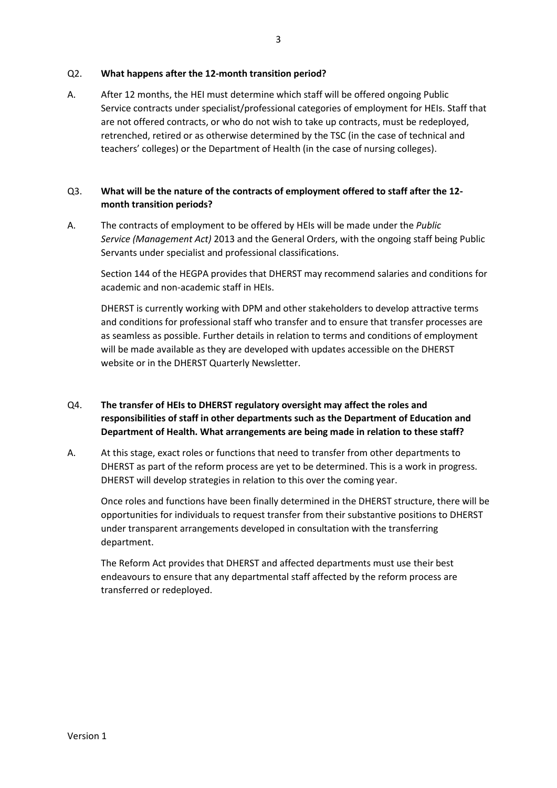#### Q2. **What happens after the 12-month transition period?**

A. After 12 months, the HEI must determine which staff will be offered ongoing Public Service contracts under specialist/professional categories of employment for HEIs. Staff that are not offered contracts, or who do not wish to take up contracts, must be redeployed, retrenched, retired or as otherwise determined by the TSC (in the case of technical and teachers' colleges) or the Department of Health (in the case of nursing colleges).

## Q3. **What will be the nature of the contracts of employment offered to staff after the 12 month transition periods?**

A. The contracts of employment to be offered by HEIs will be made under the *Public Service (Management Act)* 2013 and the General Orders, with the ongoing staff being Public Servants under specialist and professional classifications.

Section 144 of the HEGPA provides that DHERST may recommend salaries and conditions for academic and non-academic staff in HEIs.

DHERST is currently working with DPM and other stakeholders to develop attractive terms and conditions for professional staff who transfer and to ensure that transfer processes are as seamless as possible. Further details in relation to terms and conditions of employment will be made available as they are developed with updates accessible on the DHERST website or in the DHERST Quarterly Newsletter.

# Q4. **The transfer of HEIs to DHERST regulatory oversight may affect the roles and responsibilities of staff in other departments such as the Department of Education and Department of Health. What arrangements are being made in relation to these staff?**

A. At this stage, exact roles or functions that need to transfer from other departments to DHERST as part of the reform process are yet to be determined. This is a work in progress. DHERST will develop strategies in relation to this over the coming year.

Once roles and functions have been finally determined in the DHERST structure, there will be opportunities for individuals to request transfer from their substantive positions to DHERST under transparent arrangements developed in consultation with the transferring department.

The Reform Act provides that DHERST and affected departments must use their best endeavours to ensure that any departmental staff affected by the reform process are transferred or redeployed.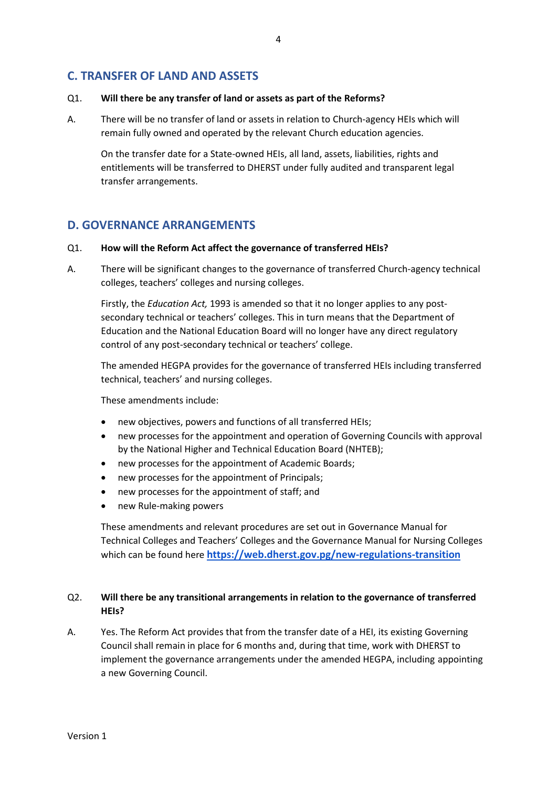# **C. TRANSFER OF LAND AND ASSETS**

#### Q1. **Will there be any transfer of land or assets as part of the Reforms?**

A. There will be no transfer of land or assets in relation to Church-agency HEIs which will remain fully owned and operated by the relevant Church education agencies.

On the transfer date for a State-owned HEIs, all land, assets, liabilities, rights and entitlements will be transferred to DHERST under fully audited and transparent legal transfer arrangements.

# **D. GOVERNANCE ARRANGEMENTS**

#### Q1. **How will the Reform Act affect the governance of transferred HEIs?**

A. There will be significant changes to the governance of transferred Church-agency technical colleges, teachers' colleges and nursing colleges.

Firstly, the *Education Act,* 1993 is amended so that it no longer applies to any postsecondary technical or teachers' colleges. This in turn means that the Department of Education and the National Education Board will no longer have any direct regulatory control of any post-secondary technical or teachers' college.

The amended HEGPA provides for the governance of transferred HEIs including transferred technical, teachers' and nursing colleges.

These amendments include:

- new objectives, powers and functions of all transferred HEIs;
- new processes for the appointment and operation of Governing Councils with approval by the National Higher and Technical Education Board (NHTEB);
- new processes for the appointment of Academic Boards;
- new processes for the appointment of Principals;
- new processes for the appointment of staff; and
- new Rule-making powers

These amendments and relevant procedures are set out in Governance Manual for Technical Colleges and Teachers' Colleges and the Governance Manual for Nursing Colleges which can be found here **<https://web.dherst.gov.pg/new-regulations-transition>**

## Q2. **Will there be any transitional arrangements in relation to the governance of transferred HEIs?**

A. Yes. The Reform Act provides that from the transfer date of a HEI, its existing Governing Council shall remain in place for 6 months and, during that time, work with DHERST to implement the governance arrangements under the amended HEGPA, including appointing a new Governing Council.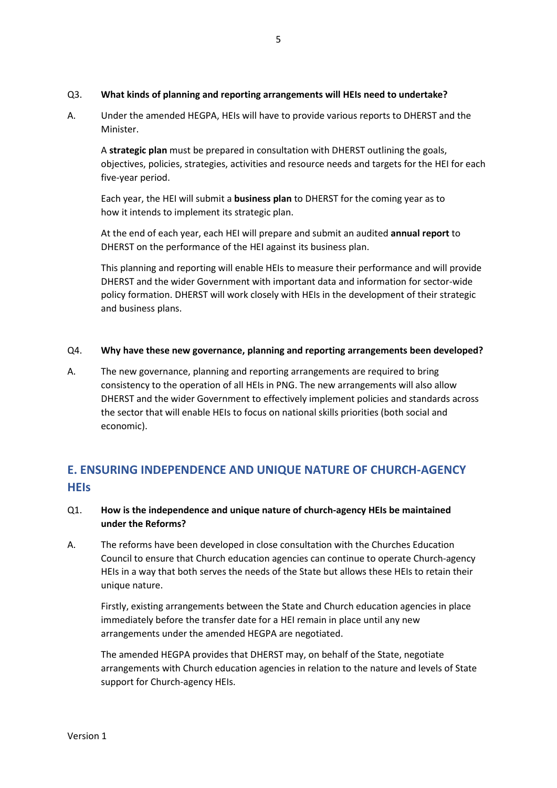## Q3. **What kinds of planning and reporting arrangements will HEIs need to undertake?**

A. Under the amended HEGPA, HEIs will have to provide various reports to DHERST and the Minister.

A **strategic plan** must be prepared in consultation with DHERST outlining the goals, objectives, policies, strategies, activities and resource needs and targets for the HEI for each five-year period.

Each year, the HEI will submit a **business plan** to DHERST for the coming year as to how it intends to implement its strategic plan.

At the end of each year, each HEI will prepare and submit an audited **annual report** to DHERST on the performance of the HEI against its business plan.

This planning and reporting will enable HEIs to measure their performance and will provide DHERST and the wider Government with important data and information for sector-wide policy formation. DHERST will work closely with HEIs in the development of their strategic and business plans.

#### Q4. **Why have these new governance, planning and reporting arrangements been developed?**

A. The new governance, planning and reporting arrangements are required to bring consistency to the operation of all HEIs in PNG. The new arrangements will also allow DHERST and the wider Government to effectively implement policies and standards across the sector that will enable HEIs to focus on national skills priorities (both social and economic).

# **E. ENSURING INDEPENDENCE AND UNIQUE NATURE OF CHURCH-AGENCY HEIs**

- Q1. **How is the independence and unique nature of church-agency HEIs be maintained under the Reforms?**
- A. The reforms have been developed in close consultation with the Churches Education Council to ensure that Church education agencies can continue to operate Church-agency HEIs in a way that both serves the needs of the State but allows these HEIs to retain their unique nature.

Firstly, existing arrangements between the State and Church education agencies in place immediately before the transfer date for a HEI remain in place until any new arrangements under the amended HEGPA are negotiated.

The amended HEGPA provides that DHERST may, on behalf of the State, negotiate arrangements with Church education agencies in relation to the nature and levels of State support for Church-agency HEIs.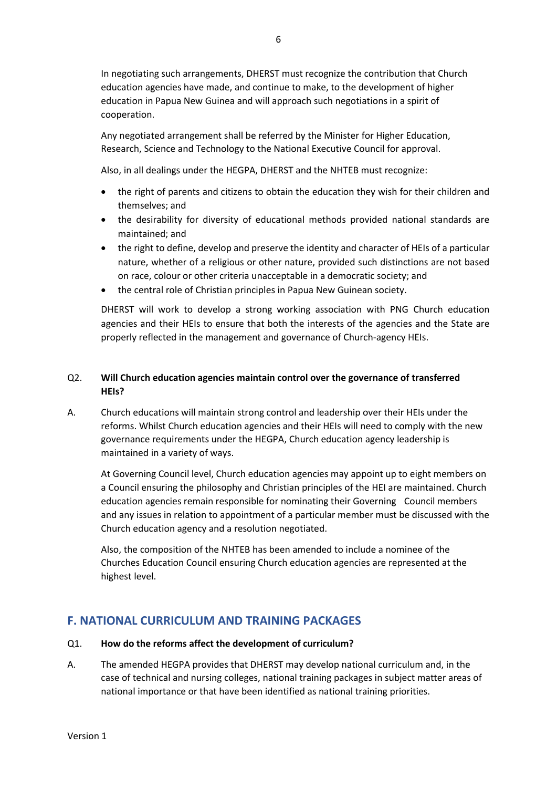In negotiating such arrangements, DHERST must recognize the contribution that Church education agencies have made, and continue to make, to the development of higher education in Papua New Guinea and will approach such negotiations in a spirit of cooperation.

Any negotiated arrangement shall be referred by the Minister for Higher Education, Research, Science and Technology to the National Executive Council for approval.

Also, in all dealings under the HEGPA, DHERST and the NHTEB must recognize:

- the right of parents and citizens to obtain the education they wish for their children and themselves; and
- the desirability for diversity of educational methods provided national standards are maintained; and
- the right to define, develop and preserve the identity and character of HEIs of a particular nature, whether of a religious or other nature, provided such distinctions are not based on race, colour or other criteria unacceptable in a democratic society; and
- the central role of Christian principles in Papua New Guinean society.

DHERST will work to develop a strong working association with PNG Church education agencies and their HEIs to ensure that both the interests of the agencies and the State are properly reflected in the management and governance of Church-agency HEIs.

# Q2. **Will Church education agencies maintain control over the governance of transferred HEIs?**

A. Church educations will maintain strong control and leadership over their HEIs under the reforms. Whilst Church education agencies and their HEIs will need to comply with the new governance requirements under the HEGPA, Church education agency leadership is maintained in a variety of ways.

At Governing Council level, Church education agencies may appoint up to eight members on a Council ensuring the philosophy and Christian principles of the HEI are maintained. Church education agencies remain responsible for nominating their Governing Council members and any issues in relation to appointment of a particular member must be discussed with the Church education agency and a resolution negotiated.

Also, the composition of the NHTEB has been amended to include a nominee of the Churches Education Council ensuring Church education agencies are represented at the highest level.

# **F. NATIONAL CURRICULUM AND TRAINING PACKAGES**

#### Q1. **How do the reforms affect the development of curriculum?**

A. The amended HEGPA provides that DHERST may develop national curriculum and, in the case of technical and nursing colleges, national training packages in subject matter areas of national importance or that have been identified as national training priorities.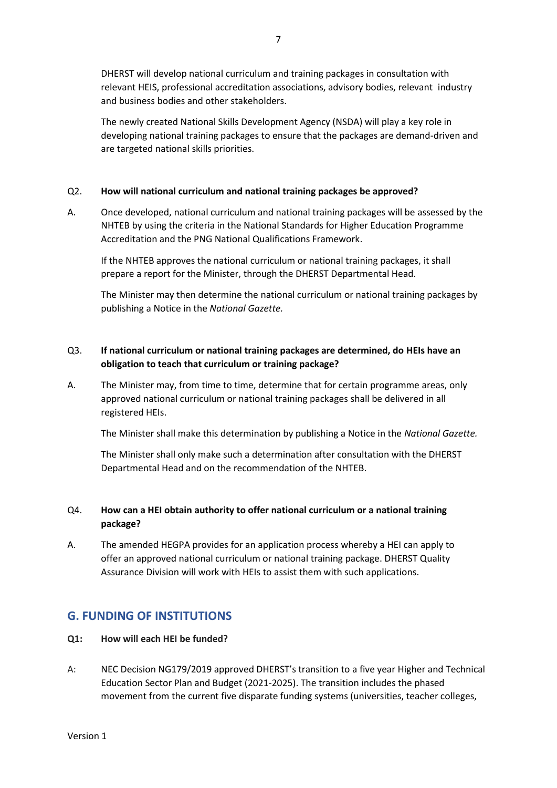DHERST will develop national curriculum and training packages in consultation with relevant HEIS, professional accreditation associations, advisory bodies, relevant industry and business bodies and other stakeholders.

The newly created National Skills Development Agency (NSDA) will play a key role in developing national training packages to ensure that the packages are demand-driven and are targeted national skills priorities.

#### Q2. **How will national curriculum and national training packages be approved?**

A. Once developed, national curriculum and national training packages will be assessed by the NHTEB by using the criteria in the National Standards for Higher Education Programme Accreditation and the PNG National Qualifications Framework.

If the NHTEB approves the national curriculum or national training packages, it shall prepare a report for the Minister, through the DHERST Departmental Head.

The Minister may then determine the national curriculum or national training packages by publishing a Notice in the *National Gazette.*

# Q3. **If national curriculum or national training packages are determined, do HEIs have an obligation to teach that curriculum or training package?**

A. The Minister may, from time to time, determine that for certain programme areas, only approved national curriculum or national training packages shall be delivered in all registered HEIs.

The Minister shall make this determination by publishing a Notice in the *National Gazette.*

The Minister shall only make such a determination after consultation with the DHERST Departmental Head and on the recommendation of the NHTEB.

# Q4. **How can a HEI obtain authority to offer national curriculum or a national training package?**

A. The amended HEGPA provides for an application process whereby a HEI can apply to offer an approved national curriculum or national training package. DHERST Quality Assurance Division will work with HEIs to assist them with such applications.

# **G. FUNDING OF INSTITUTIONS**

- **Q1: How will each HEI be funded?**
- A: NEC Decision NG179/2019 approved DHERST's transition to a five year Higher and Technical Education Sector Plan and Budget (2021-2025). The transition includes the phased movement from the current five disparate funding systems (universities, teacher colleges,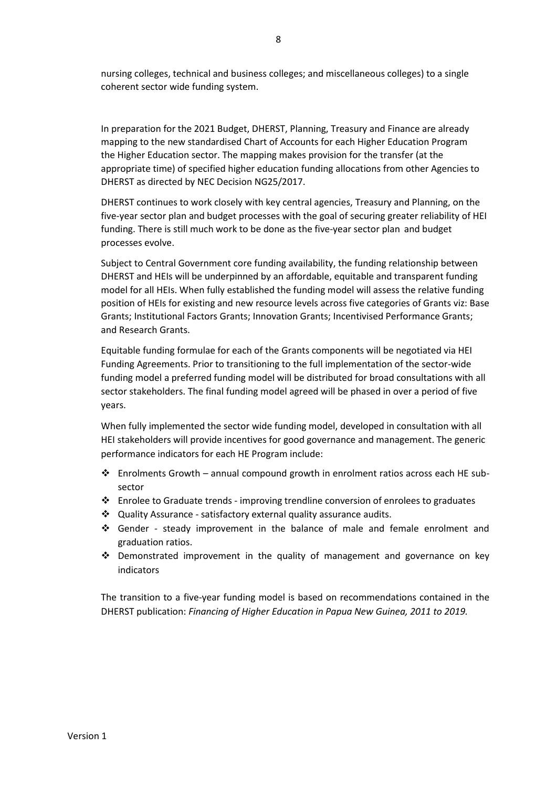nursing colleges, technical and business colleges; and miscellaneous colleges) to a single coherent sector wide funding system.

In preparation for the 2021 Budget, DHERST, Planning, Treasury and Finance are already mapping to the new standardised Chart of Accounts for each Higher Education Program the Higher Education sector. The mapping makes provision for the transfer (at the appropriate time) of specified higher education funding allocations from other Agencies to DHERST as directed by NEC Decision NG25/2017.

DHERST continues to work closely with key central agencies, Treasury and Planning, on the five-year sector plan and budget processes with the goal of securing greater reliability of HEI funding. There is still much work to be done as the five-year sector plan and budget processes evolve.

Subject to Central Government core funding availability, the funding relationship between DHERST and HEIs will be underpinned by an affordable, equitable and transparent funding model for all HEIs. When fully established the funding model will assess the relative funding position of HEIs for existing and new resource levels across five categories of Grants viz: Base Grants; Institutional Factors Grants; Innovation Grants; Incentivised Performance Grants; and Research Grants.

Equitable funding formulae for each of the Grants components will be negotiated via HEI Funding Agreements. Prior to transitioning to the full implementation of the sector-wide funding model a preferred funding model will be distributed for broad consultations with all sector stakeholders. The final funding model agreed will be phased in over a period of five years.

When fully implemented the sector wide funding model, developed in consultation with all HEI stakeholders will provide incentives for good governance and management. The generic performance indicators for each HE Program include:

- **Enrolments Growth annual compound growth in enrolment ratios across each HE sub**sector
- $\div$  Enrolee to Graduate trends improving trendline conversion of enrolees to graduates
- Quality Assurance satisfactory external quality assurance audits.
- Gender steady improvement in the balance of male and female enrolment and graduation ratios.
- $\div$  Demonstrated improvement in the quality of management and governance on key indicators

The transition to a five-year funding model is based on recommendations contained in the DHERST publication: *Financing of Higher Education in Papua New Guinea, 2011 to 2019.*